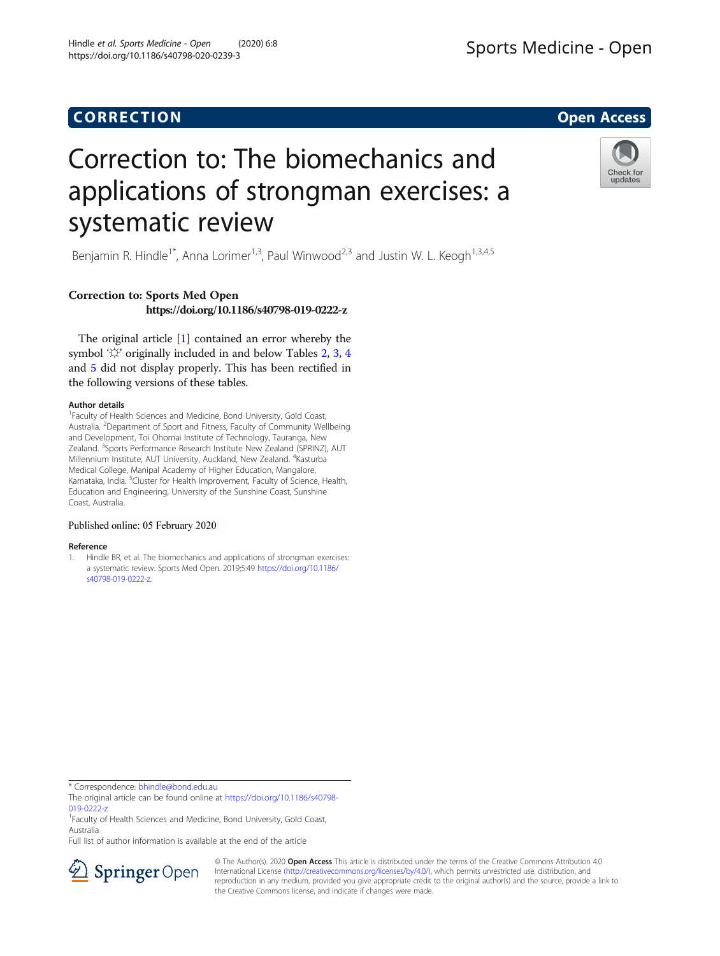## **CORRECTION CORRECTION**

# Correction to: The biomechanics and applications of strongman exercises: a systematic review

Benjamin R. Hindle<sup>1\*</sup>, Anna Lorimer<sup>1,3</sup>, Paul Winwood<sup>2,3</sup> and Justin W. L. Keogh<sup>1,3,4,5</sup>

### Correction to: Sports Med Open https://doi.org/10.1186/s40798-019-0222-z

The original article [1] contained an error whereby the symbol ' $\&$ ' originally included in and below Tables [2,](#page-1-0) [3,](#page-3-0) [4](#page-4-0) and [5](#page-5-0) did not display properly. This has been rectified in the following versions of these tables.

#### Author details

<sup>1</sup> Faculty of Health Sciences and Medicine, Bond University, Gold Coast, Australia. <sup>2</sup>Department of Sport and Fitness, Faculty of Community Wellbeing and Development, Toi Ohomai Institute of Technology, Tauranga, New Zealand. <sup>3</sup>Sports Performance Research Institute New Zealand (SPRINZ), AUT Millennium Institute, AUT University, Auckland, New Zealand. <sup>4</sup>Kasturba Medical College, Manipal Academy of Higher Education, Mangalore, Karnataka, India. <sup>5</sup>Cluster for Health Improvement, Faculty of Science, Health, Education and Engineering, University of the Sunshine Coast, Sunshine Coast, Australia.

#### Published online: 05 February 2020

#### Reference

1. Hindle BR, et al. The biomechanics and applications of strongman exercises: a systematic review. Sports Med Open. 2019;5:49 [https://doi.org/10.1186/](https://doi.org/10.1186/s40798-019-0222-z) [s40798-019-0222-z](https://doi.org/10.1186/s40798-019-0222-z).

\* Correspondence: [bhindle@bond.edu.au](mailto:bhindle@bond.edu.au)

<sup>1</sup> Faculty of Health Sciences and Medicine, Bond University, Gold Coast, Australia

Full list of author information is available at the end of the article



© The Author(s). 2020 Open Access This article is distributed under the terms of the Creative Commons Attribution 4.0 International License ([http://creativecommons.org/licenses/by/4.0/\)](http://creativecommons.org/licenses/by/4.0/), which permits unrestricted use, distribution, and reproduction in any medium, provided you give appropriate credit to the original author(s) and the source, provide a link to the Creative Commons license, and indicate if changes were made.





The original article can be found online at [https://doi.org/10.1186/s40798-](https://doi.org/10.1186/s40798-019-0222-z) [019-0222-z](https://doi.org/10.1186/s40798-019-0222-z)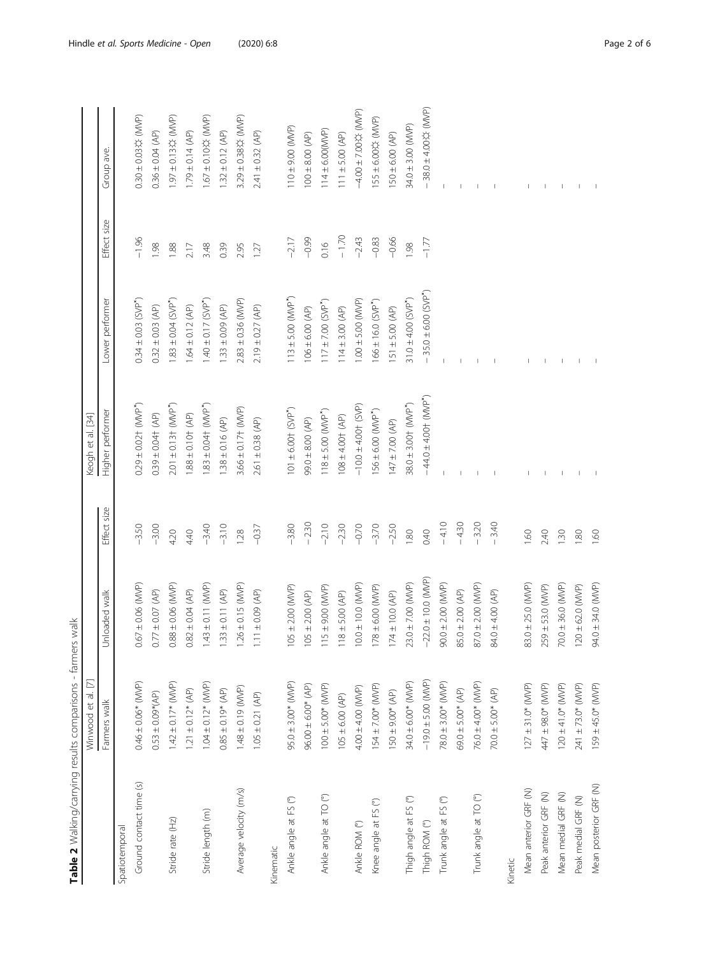<span id="page-1-0"></span>

|                         | Winwood et al. [7]      |                        |             | Keogh et al. [34]                              |                                     |             |                       |
|-------------------------|-------------------------|------------------------|-------------|------------------------------------------------|-------------------------------------|-------------|-----------------------|
|                         | Farmers walk            | Jnloaded walk          | Effect size | Higher performer                               | Lower performer                     | Effect size | Group ave.            |
| Spatiotemporal          |                         |                        |             |                                                |                                     |             |                       |
| Ground contact time (s) | $0.46 \pm 0.06*$ (MVP)  | $0.67 \pm 0.06$ (MVP)  | $-3.50$     | $0.29 \pm 0.02$ $\uparrow$ (MVP)               | $0.34 \pm 0.03$ (SVP <sup>*</sup> ) | $-1.96$     | 0.30 ± 0.03な (MVP)    |
|                         | $0.53 \pm 0.09*(AP)$    | $0.77 \pm 0.07$ (AP)   | $-3.00$     | $0.39 \pm 0.04$ $(AP)$                         | $0.32 \pm 0.03$ (AP)                | 1.98        | $0.36 \pm 0.04$ (AP)  |
| Stride rate (Hz)        | $1.42 \pm 0.17*$ (MVP)  | $0.88 \pm 0.06$ (MVP)  | 4.20        | $2.01 \pm 0.13$ $\uparrow$ (MVP <sup>*</sup> ) | $1.83 \pm 0.04$ (SVP <sup>*</sup> ) | 1.88        | 1.97 ±0.13な(MVP)      |
|                         | $1.21 \pm 0.12$ * (AP)  | $0.82 \pm 0.04$ (AP)   | 4.40        | $1.88 \pm 0.10$ $(AP)$                         | $1.64 \pm 0.12$ (AP)                | 2.17        | $1.79 \pm 0.14$ (AP)  |
| Stride length (m)       | $1.04 \pm 0.12$ * (MVP) | $1.43 \pm 0.11$ (MVP)  | $-3.40$     | $1.83 \pm 0.04$ $(NNP*)$                       | $1.40 \pm 0.17$ (SVP <sup>*</sup> ) | 3.48        | 1.67 ± 0.10な (MVP)    |
|                         | $0.85 \pm 0.19$ * (AP)  | $1.33 \pm 0.11$ (AP)   | $-3.10$     | $1.38 \pm 0.16$ (AP)                           | $1.33 \pm 0.09$ (AP)                | 0.39        | $1.32 \pm 0.12$ (AP)  |
| Average velocity (m/s)  | $1.48 \pm 0.19$ (MVP)   | $.26 \pm 0.15$ (MVP)   | 1.28        | $3.66 \pm 0.17$ (MVP)                          | $2.83 \pm 0.36$ (MVP)               | 2.95        | 3.29 ± 0.38☆ (MVP)    |
|                         | $1.05 \pm 0.21$ (AP)    | $1.11 \pm 0.09$ (AP)   | $-0.37$     | $2.61 \pm 0.38$ (AP)                           | $2.19 \pm 0.27$ (AP)                | 127         | $2.41 \pm 0.32$ (AP)  |
| Kinematic               |                         |                        |             |                                                |                                     |             |                       |
| Ankle angle at FS (°)   | $95.0 \pm 3.00*$ (MVP)  | $105 \pm 2.00$ (MVP)   | $-3.80$     | $101 \pm 6.00$ $(SVP^*)$                       | $113 \pm 5.00$ (MVP <sup>*</sup> )  | $-2.17$     | $110 \pm 9.00$ (MVP)  |
|                         | $96.00 \pm 6.00*$ (AP)  | $105 \pm 2.00$ (AP)    | $-2.30$     | $99.0 \pm 8.00 (AP)$                           | $106 \pm 6.00$ (AP)                 | $-0.99$     | $100 \pm 8.00 (AP)$   |
| Ankle angle at TO (°)   | $100 \pm 5.00*$ (MVP)   | $(15 \pm 9.00$ (MVP)   | $-2.10$     | $118 \pm 5.00$ (MVP <sup>*</sup> )             | $117 \pm 7.00$ (SVP <sup>*</sup> )  | 0.16        | $114 \pm 6.00(MNP)$   |
|                         | $105 \pm 6.00$ (AP)     | $118 \pm 5.00$ (AP)    | $-2.30$     | $108 \pm 4.00$ $(AP)$                          | $114 \pm 3.00$ (AP)                 | $-1.70$     | $111 \pm 5.00$ (AP)   |
| Ankle ROM (°)           | 4.00 ± 4.00 (MVP)       | $10.0 \pm 10.0$ (MVP)  | $-0.70$     | $-100 \pm 4.00$ + (SVP)                        | $1.00 \pm 5.00$ (MVP)               | $-2.43$     | -4.00±7.000\$ (MVP)   |
| Knee angle at FS (°)    | $154 \pm 7.00*$ (MVP)   | $178 \pm 6.00$ (MVP)   | $-3.70$     | $156 \pm 6.00$ (MVP <sup>*</sup> )             | $166 \pm 16.0$ (SVP <sup>*</sup> )  | $-0.83$     | 155±6.000☆ (MVP)      |
|                         | $150 \pm 9.00* (AP)$    | $(74 \pm 10.0)$ (AP)   | $-2.50$     | $147 \pm 7.00$ (AP)                            | $151 \pm 5.00$ (AP)                 | $-0.66$     | $150 \pm 6.00$ (AP)   |
| Thigh angle at FS (°)   | 34.0 ± 6.00* (MVP)      | $23.0 \pm 7.00$ (MVP)  | 1.80        | $38.0 \pm 3.00$ $\uparrow$ (MVP <sup>*</sup> ) | $31.0 \pm 4.00$ (SVP <sup>*</sup> ) | 1.98        | 34.0 ± 3.00 (MVP)     |
| Thigh ROM (°)           | $-19.0 \pm 5.00$ (MVP)  | $-22.0 \pm 10.0$ (MVP) | 0.40        | $-44.0 \pm 4.00$ + (MVP <sup>*</sup> )         | $-35.0 \pm 6.00$ (SVP")             | $-1.77$     | $-38.0 + 4.004$ (MVP) |
| Trunk angle at FS (°)   | 78.0 ± 3.00* (MVP)      | $90.0 \pm 2.00$ (MVP)  | $-4.10$     |                                                |                                     |             |                       |
|                         | $59.0 \pm 5.00* (AP)$   | $35.0 \pm 2.00$ (AP)   | $-4.30$     |                                                |                                     |             |                       |
| Trunk angle at TO (°)   | $76.0 \pm 4.00*$ (MVP)  | $37.0 \pm 2.00$ (MVP)  | $-3.20$     |                                                |                                     |             |                       |
|                         | $70.0 \pm 5.00* (AP)$   | 84.0 ± 4.00 (AP)       | $-3.40$     |                                                |                                     |             |                       |
| Kinetic                 |                         |                        |             |                                                |                                     |             |                       |
| Mean anterior GRF (N)   | $127 \pm 31.0*$ (MVP)   | 83.0 $\pm$ 25.0 (MVP)  | 1.60        |                                                |                                     |             |                       |
| Peak anterior GRF (N)   | 447 ± 98.0* (MVP)       | $259 \pm 53.0$ (MVP)   | 2.40        |                                                |                                     |             |                       |
| Mean medial GRF (N)     | $120 \pm 41.0*$ (MVP)   | $70.0 \pm 36.0$ (MVP)  | 1.30        |                                                |                                     |             |                       |
| Peak medial GRF (N)     | $241 \pm 73.0*$ (MVP)   | $20 \pm 62.0$ (MVP)    | 1.80        |                                                |                                     |             |                       |
| Mean posterior GRF (N)  | $159 \pm 45.0*$ (MVP)   | 94.0 ± 34.0 (MVP)      | 1.60        |                                                |                                     |             |                       |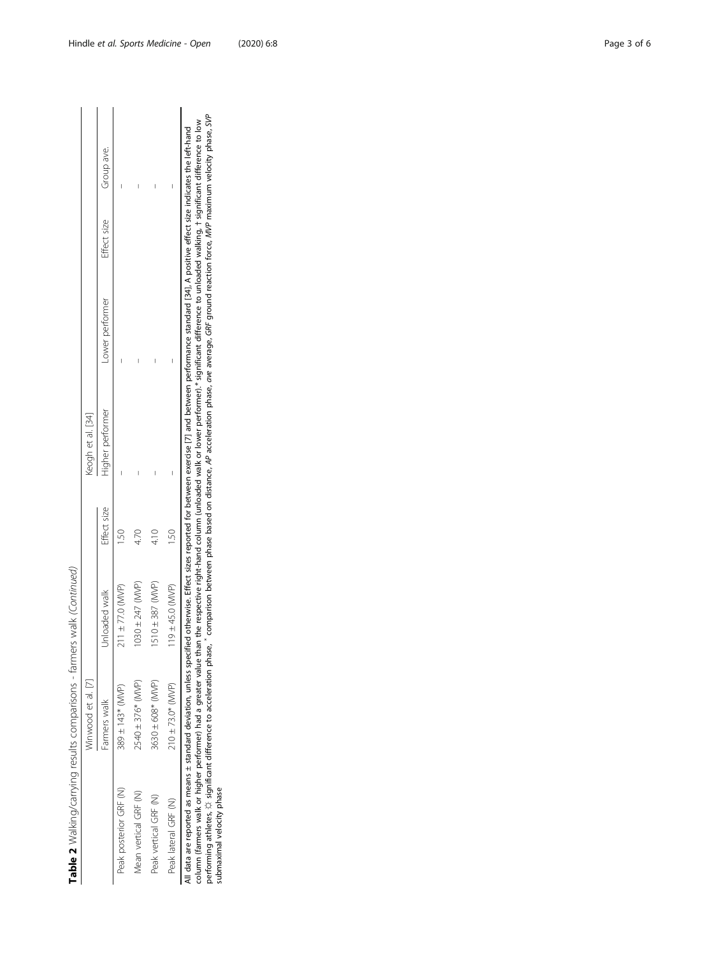Table 2 Walking/carrying results comparisons - farmers walk (Continued) Table 2 Walking/carrying results comparisons - farmers walk (Continued)

|                                                                                                                 | Winwood et al. [7]    |                      |             | Keogh et al. [34] |                                                                                                                 |                        |   |
|-----------------------------------------------------------------------------------------------------------------|-----------------------|----------------------|-------------|-------------------|-----------------------------------------------------------------------------------------------------------------|------------------------|---|
|                                                                                                                 | Farmers walk          | Unloaded walk        | Effect size | Higher performer  | Lower performer                                                                                                 | Effect size Group ave. |   |
| Peak posterior GRF (N)                                                                                          | $389 \pm 143$ (MVP)   | $211 \pm 77.0$ (MVP) |             |                   | I                                                                                                               |                        | I |
| Aean vertical GRF (N)                                                                                           | 2540 ± 376* (MVP)     | $1030 \pm 247$ (MVP) |             | I                 | I                                                                                                               |                        | I |
| Peak vertical GRF (N)                                                                                           | 3630 ± 608* (MVP)     | $1510 \pm 387$ (MVP) |             | Ī                 | I                                                                                                               |                        | Ī |
| Peak lateral GRF (N)                                                                                            | $210 \pm 73.0*$ (MVP) | $119 + 45.0$ (MVP)   |             | I                 | I                                                                                                               |                        | I |
| incor contract of contract to the contract of the contract of the contract of the contract of the contract of t |                       |                      |             |                   | ואת האינו בין בין בין לאומי האינו בין בין בין בין המונים בין בין בין בין המונים האינו בין בין בין בין האינו האי |                        |   |

All data are reported as means ± standard deviation, unless specified otherwise. Effect sizes reported for between exercise [7] and between performance standard [34], A positive effect size indicates the left-hand<br>column performing athletes, ☆ significant difference to acceleration phase, \* comparison between phase based on distance, AP acceleration phase, ave average, GRF ground reaction force, MVP maximum velocity phase, SVP column (farmers walk or higher performer) had a greater value than the respective right-hand column (unloaded walk or lower performer).\* significant difference to unloaded walking, † significant difference to low All data are reported as means ± standard deviation, unless specified otherwise. Effect sizes reported for between performance standard [34], A positive effect size indicates the left-hand submaximal velocity phase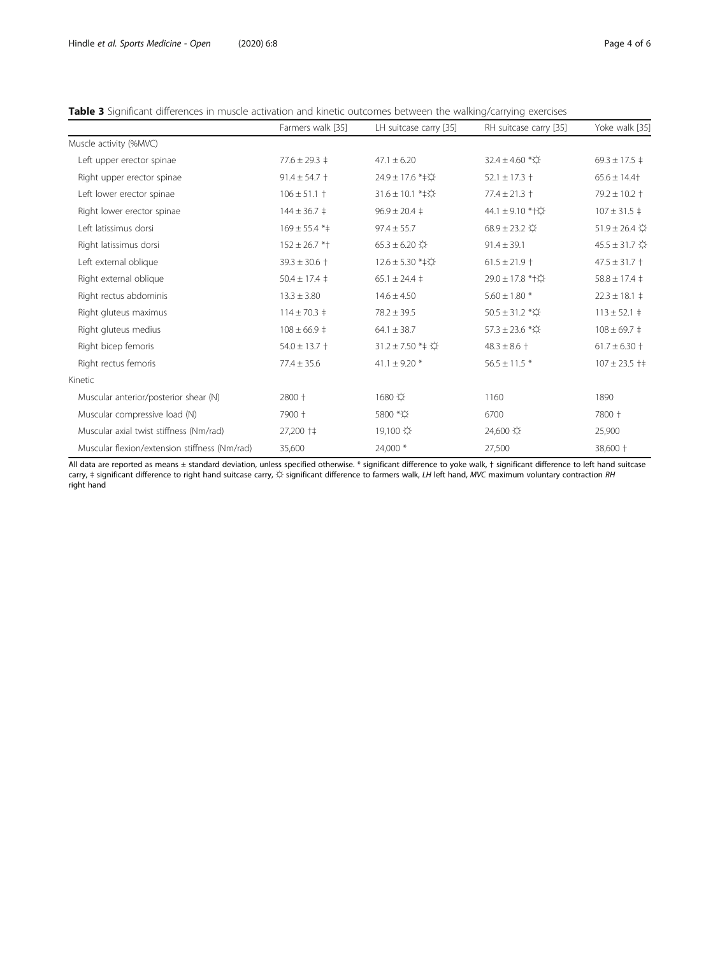<span id="page-3-0"></span>

| Table 3 Significant differences in muscle activation and kinetic outcomes between the walking/carrying exercises |  |  |  |  |
|------------------------------------------------------------------------------------------------------------------|--|--|--|--|
|                                                                                                                  |  |  |  |  |

|                                               | Farmers walk [35]     | LH suitcase carry [35]                              | RH suitcase carry [35]                | Yoke walk [35]                        |
|-----------------------------------------------|-----------------------|-----------------------------------------------------|---------------------------------------|---------------------------------------|
| Muscle activity (%MVC)                        |                       |                                                     |                                       |                                       |
| Left upper erector spinae                     | $77.6 \pm 29.3 \pm$   | $47.1 \pm 6.20$                                     | 32.4 ± 4.60 * $\star$                 | $69.3 \pm 17.5 \pm$                   |
| Right upper erector spinae                    | $91.4 \pm 54.7 +$     | 24.9 ± 17.6 * ‡☆                                    | $52.1 \pm 17.3 \pm 1$                 | $65.6 \pm 14.4$                       |
| Left lower erector spinae                     | $106 \pm 51.1 +$      | 31.6 ± 10.1 * ‡☆                                    | $77.4 \pm 21.3 \pm$                   | $79.2 \pm 10.2 \pm 1$                 |
| Right lower erector spinae                    | $144 \pm 36.7 \pm$    | $96.9 \pm 20.4 \pm 1$                               | 44.1 ± 9.10 * + $\uparrow \downarrow$ | $107 \pm 31.5 \pm$                    |
| Left latissimus dorsi                         | $169 \pm 55.4$ * ‡    | $97.4 \pm 55.7$                                     | $68.9 \pm 23.2$                       | $51.9 \pm 26.4$ $\uparrow$            |
| Right latissimus dorsi                        | $152 \pm 26.7$ *†     | $65.3 \pm 6.20$<br>$\!\!\downarrow\!\!\!\downarrow$ | $91.4 \pm 39.1$                       | $45.5 \pm 31.7$ $\uparrow \downarrow$ |
| Left external oblique                         | $39.3 \pm 30.6 +$     | 12.6 ± 5.30 *‡☆                                     | $61.5 \pm 21.9$ †                     | $47.5 \pm 31.7 +$                     |
| Right external oblique                        | $50.4 \pm 17.4 \pm 1$ | $65.1 \pm 24.4 \pm$                                 | 29.0 ± 17.8 * † ☆                     | $58.8 \pm 17.4 \pm 12.4$              |
| Right rectus abdominis                        | $13.3 \pm 3.80$       | $14.6 \pm 4.50$                                     | $5.60\pm1.80$ *                       | $22.3 \pm 18.1 \pm$                   |
| Right gluteus maximus                         | $114 \pm 70.3 \pm$    | $78.2 \pm 39.5$                                     | 50.5 ± 31.2 * $\uparrow \downarrow$   | $113 \pm 52.1$ ‡                      |
| Right gluteus medius                          | $108 \pm 66.9$ ‡      | $64.1 \pm 38.7$                                     | 57.3 ± 23.6 * $\uparrow \downarrow$   | $108 \pm 69.7$ ‡                      |
| Right bicep femoris                           | $54.0 \pm 13.7 +$     | 31.2±7.50 *‡ ☆                                      | $48.3 \pm 8.6 +$                      | $61.7 \pm 6.30 \pm 1$                 |
| Right rectus femoris                          | $77.4 \pm 35.6$       | 41.1 $\pm$ 9.20 $*$                                 | $56.5 \pm 11.5$ *                     | $107 \pm 23.5$ + $\pm$                |
| Kinetic                                       |                       |                                                     |                                       |                                       |
| Muscular anterior/posterior shear (N)         | 2800 +                | 1680 ☆                                              | 1160                                  | 1890                                  |
| Muscular compressive load (N)                 | 7900 +                | 5800 *☆                                             | 6700                                  | 7800 +                                |
| Muscular axial twist stiffness (Nm/rad)       | 27,200 † ‡            | 19,100 章                                            | 24,600 ☆                              | 25,900                                |
| Muscular flexion/extension stiffness (Nm/rad) | 35,600                | 24,000 *                                            | 27,500                                | 38,600 +                              |

All data are reported as means ± standard deviation, unless specified otherwise. \* significant difference to yoke walk, † significant difference to left hand suitcase<br>carry, ‡ significant difference to right hand suitcase right hand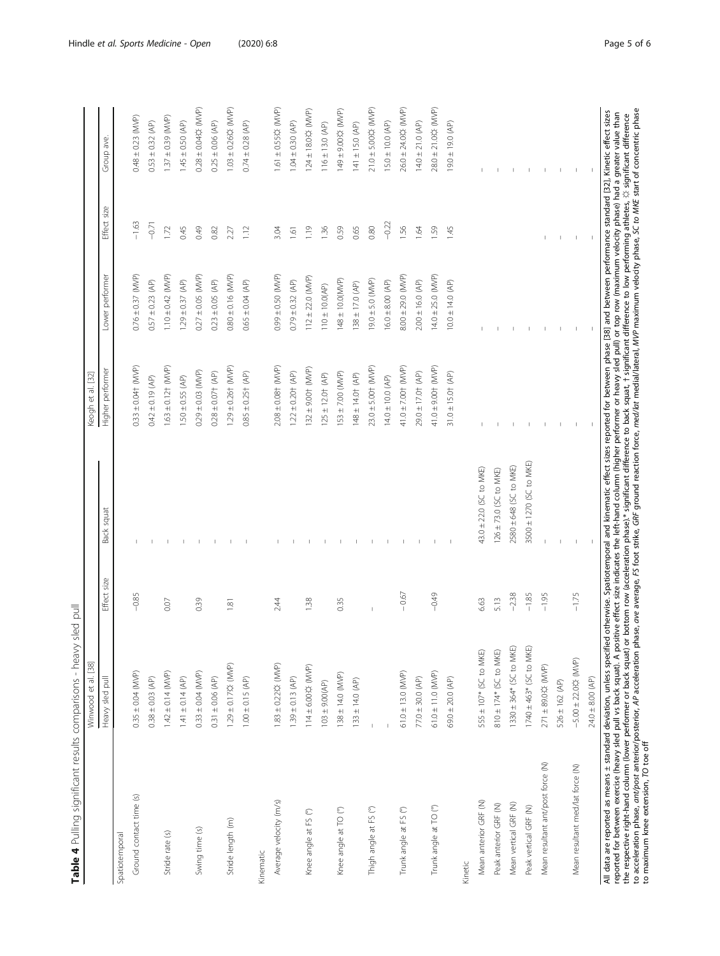|                                                                                                                                                                                                                                                                                                                                                                                                                                                                                                                                                                                                                                                                                        | Winwood et al. [38]        |                |                         | $[32]$<br>Keogh et al.           |                       |                          |                         |
|----------------------------------------------------------------------------------------------------------------------------------------------------------------------------------------------------------------------------------------------------------------------------------------------------------------------------------------------------------------------------------------------------------------------------------------------------------------------------------------------------------------------------------------------------------------------------------------------------------------------------------------------------------------------------------------|----------------------------|----------------|-------------------------|----------------------------------|-----------------------|--------------------------|-------------------------|
|                                                                                                                                                                                                                                                                                                                                                                                                                                                                                                                                                                                                                                                                                        | Heavy sled pull            | size<br>Effect | Back squat              | Higher performer                 | Lower performer       | Effect size              | Group ave               |
| Spatiotemporal                                                                                                                                                                                                                                                                                                                                                                                                                                                                                                                                                                                                                                                                         |                            |                |                         |                                  |                       |                          |                         |
| Ground contact time (s)                                                                                                                                                                                                                                                                                                                                                                                                                                                                                                                                                                                                                                                                | $0.35 \pm 0.04$ (MVP)      | $-0.85$        |                         | $0.33 \pm 0.04$ $(MNP)$          | $0.76 \pm 0.37$ (MVP) | $-1,63$                  | $0.48 \pm 0.23$ (MVP)   |
|                                                                                                                                                                                                                                                                                                                                                                                                                                                                                                                                                                                                                                                                                        | $0.38 \pm 0.03$ (AP)       |                |                         | $0.42 \pm 0.19$ (AP)             | $0.57 \pm 0.23$ (AP)  | $-0.71$                  | $0.53 \pm 0.32$ (AP)    |
| Stride rate (s)                                                                                                                                                                                                                                                                                                                                                                                                                                                                                                                                                                                                                                                                        | $1.42 \pm 0.14$ (MVP)      | 0.07           |                         | $1.63 \pm 0.12$ $(NNP)$          | $1.10 \pm 0.42$ (MVP) | 1.72                     | $1.37 \pm 0.39$ (MVP)   |
|                                                                                                                                                                                                                                                                                                                                                                                                                                                                                                                                                                                                                                                                                        | $1.41 \pm 0.14$ (AP)       |                |                         | $1.50 \pm 0.55$ (AP)             | $1.29 \pm 0.37$ (AP)  | 0.45                     | $1.45 \pm 0.50$ (AP)    |
| Swing time (s)                                                                                                                                                                                                                                                                                                                                                                                                                                                                                                                                                                                                                                                                         | $0.33 \pm 0.04$ (MVP)      | 0.39           |                         | $0.29 \pm 0.03$ (MVP)            | $0.27 \pm 0.05$ (MVP) | 0.49                     | $0.28 \pm 0.04$ ☆ (MVP) |
|                                                                                                                                                                                                                                                                                                                                                                                                                                                                                                                                                                                                                                                                                        | $0.31 \pm 0.06$ (AP)       |                |                         | $0.28 \pm 0.07$ $(AP)$           | $0.23 \pm 0.05$ (AP)  | 0.82                     | $0.25 \pm 0.06$ (AP)    |
| Stride length (m)                                                                                                                                                                                                                                                                                                                                                                                                                                                                                                                                                                                                                                                                      | 1.29 ± 0.17☆ (MVP)         | $\frac{18}{1}$ |                         | $1.29 \pm 0.26$ $\uparrow$ (MVP) | $0.80 \pm 0.16$ (MVP) | 2.27                     | 1.03 ±0.26な (MVP)       |
|                                                                                                                                                                                                                                                                                                                                                                                                                                                                                                                                                                                                                                                                                        | $1.00 \pm 0.15$ (AP)       |                |                         | $0.85 \pm 0.25$ $(AP)$           | $0.65 \pm 0.04$ (AP)  | 1.12                     | $0.74 \pm 0.28$ (AP)    |
| Kinematic                                                                                                                                                                                                                                                                                                                                                                                                                                                                                                                                                                                                                                                                              |                            |                |                         |                                  |                       |                          |                         |
| Average velocity (m/s)                                                                                                                                                                                                                                                                                                                                                                                                                                                                                                                                                                                                                                                                 | 1.83 ± 0.22な (MVP)         | 2.44           |                         | $2.08 \pm 0.08$ † (MVP)          | (9.000)(0.50)         | 3.04                     | $1.61 \pm 0.55$ ☆ (MVP) |
|                                                                                                                                                                                                                                                                                                                                                                                                                                                                                                                                                                                                                                                                                        | $1.39 \pm 0.13$ (AP)       |                |                         | $1.22 \pm 0.20$ $(AP)$           | $0.79 \pm 0.32$ (AP)  | $\overline{161}$         | $1.04 \pm 0.30$ (AP)    |
| Knee angle at FS (°)                                                                                                                                                                                                                                                                                                                                                                                                                                                                                                                                                                                                                                                                   | 114±6.00☆ (MVP)            | 1.38           |                         | $132 \pm 9.00$ + (MVP)           | $112 \pm 22.0$ (MVP)  | 1.19                     | 124±18.0な (MVP)         |
|                                                                                                                                                                                                                                                                                                                                                                                                                                                                                                                                                                                                                                                                                        | $103 \pm 9.00 (AP)$        |                |                         | $125 \pm 12.0$ + (AP)            | $110 \pm 10.0 (AP)$   | 1.36                     | $116 \pm 13.0$ (AP)     |
| Knee angle at TO (°)                                                                                                                                                                                                                                                                                                                                                                                                                                                                                                                                                                                                                                                                   | $138 \pm 14.0$ (MVP)       | 0.35           |                         | $153 \pm 7.00$ (MVP)             | 148 ± 10.0(MVP)       | 0.59                     | 149±9.00な (MVP)         |
|                                                                                                                                                                                                                                                                                                                                                                                                                                                                                                                                                                                                                                                                                        | $133 \pm 14.0$ (AP)        |                |                         | $148 \pm 14.0$ † $(AP)$          | $138 \pm 17.0$ (AP)   | 0.65                     | $141 \pm 15.0$ (AP)     |
| Thigh angle at FS (°)                                                                                                                                                                                                                                                                                                                                                                                                                                                                                                                                                                                                                                                                  |                            |                |                         | $23.0 \pm 5.00$ + $(MVP)$        | $19.0 \pm 5.0$ (MVP)  | 0.80                     | 21.0 ± 5.00な (MVP)      |
|                                                                                                                                                                                                                                                                                                                                                                                                                                                                                                                                                                                                                                                                                        |                            |                |                         | $14.0 \pm 10.0$ (AP)             | $16.0 \pm 8.00$ (AP)  | $-0.22$                  | $15.0 \pm 10.0$ (AP)    |
| Trunk angle at FS (°)                                                                                                                                                                                                                                                                                                                                                                                                                                                                                                                                                                                                                                                                  | $61.0 \pm 13.0$ (MVP)      | $-0.67$        |                         | 41.0 $\pm$ 7.00† (MVP)           | $8.00 \pm 29.0$ (MVP) | 1.56                     | 26.0 ± 24.0☆ (MVP)      |
|                                                                                                                                                                                                                                                                                                                                                                                                                                                                                                                                                                                                                                                                                        | $77.0 \pm 30.0$ (AP)       |                |                         | 29.0 ± 17.0† (AP)                | $2.00 \pm 16.0$ (AP)  | 1.64                     | $14.0 \pm 21.0$ (AP)    |
| Trunk angle at TO (°)                                                                                                                                                                                                                                                                                                                                                                                                                                                                                                                                                                                                                                                                  | $61.0 \pm 11.0$ (MVP)      | $-0.49$        |                         | 41.0 ± 9.00 + (MVP)              | $14.0 \pm 25.0$ (MVP) | 1.59                     | 28.0 ± 21.0な (MVP)      |
|                                                                                                                                                                                                                                                                                                                                                                                                                                                                                                                                                                                                                                                                                        | $69.0 \pm 20.0$ (AP)       |                |                         | $31.0 \pm 15.0$ $(AP)$           | $10.0 \pm 14.0$ (AP)  | 1.45                     | $19.0 \pm 19.0$ (AP)    |
| Kinetic                                                                                                                                                                                                                                                                                                                                                                                                                                                                                                                                                                                                                                                                                |                            |                |                         |                                  |                       |                          |                         |
| Mean anterior GRF (N)                                                                                                                                                                                                                                                                                                                                                                                                                                                                                                                                                                                                                                                                  | 555 ± 107* (SC to MKE)     | 6.63           | 43.0 ± 22.0 (SC to MKE) |                                  |                       |                          |                         |
| Peak anterior GRF (N)                                                                                                                                                                                                                                                                                                                                                                                                                                                                                                                                                                                                                                                                  | $810 \pm 174*$ (SC to MKE) | 5.13           | 126 ± 73.0 (SC to MKE)  | т.                               |                       |                          |                         |
| Mean vertical GRF (N)                                                                                                                                                                                                                                                                                                                                                                                                                                                                                                                                                                                                                                                                  | 1330 ± 364* (SC to MKE)    | $-2.38$        | 2580 ± 648 (SC to MKE)  | $\perp$                          |                       |                          |                         |
| Peak vertical GRF (N)                                                                                                                                                                                                                                                                                                                                                                                                                                                                                                                                                                                                                                                                  | 1740 ± 463* (SC to MKE)    | $-1.85$        | 3500 ± 1270 (SC to MKE) |                                  |                       |                          |                         |
| Mean resultant ant/post force (N)                                                                                                                                                                                                                                                                                                                                                                                                                                                                                                                                                                                                                                                      | 271 ±89.0☆ (MVP)           | $-1.95$        |                         |                                  |                       |                          |                         |
|                                                                                                                                                                                                                                                                                                                                                                                                                                                                                                                                                                                                                                                                                        | $526 \pm 162$ (AP)         |                |                         | $\mathbf{I}$                     |                       |                          |                         |
| Mean resultant med/lat force (N)                                                                                                                                                                                                                                                                                                                                                                                                                                                                                                                                                                                                                                                       | $-5.00 \pm 22.0$ ☆ (MVP)   | $-1.75$        |                         | $\overline{1}$                   |                       | $\overline{\phantom{a}}$ |                         |
|                                                                                                                                                                                                                                                                                                                                                                                                                                                                                                                                                                                                                                                                                        | $24.0 \pm 8.00$ (AP)       |                |                         |                                  |                       |                          |                         |
| the respective right-hand column (lower performer or back squat) or bottom row (acceleration phase).* significant difference to back squat, † significant difference to low performing athletes, ½ significant difference<br>to m<br>All data are reported as means ± standard deviation, unless specified otherwise. Spatiotemporal and kinematic effect sizes reported for between phase [38] and between performance standard [32], Kinetic effect sizes<br>reported for between exercise (heavy sled pull vs back squat). A positive effect size indicates the left-hand column (higher performer or heavy sled pull) or top row (maximum velocity phase) had a greater value than |                            |                |                         |                                  |                       |                          |                         |
|                                                                                                                                                                                                                                                                                                                                                                                                                                                                                                                                                                                                                                                                                        |                            |                |                         |                                  |                       |                          |                         |

<span id="page-4-0"></span>Hindle et al. Sports Medicine - Open (2020) 6:8 example 3 of 6 control of the United States of 6 control of the Page 5 of 6